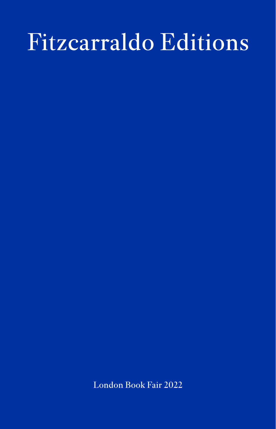## Fitzcarraldo Editions

London Book Fair 2022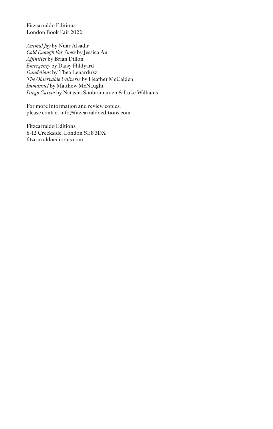Fitzcarraldo Editions London Book Fair 2022

*Animal Joy* by Nuar Alsadir *Cold Enough For Snow* by Jessica Au *Affinities* by Brian Dillon *Emergency* by Daisy Hildyard *Dandelions* by Thea Lenarduzzi *The Observable Universe* by Heather McCalden *Immanuel* by Matthew McNaught *Diego Garcia* by Natasha Soobramanien & Luke Williams

For more information and review copies, please contact info@fitzcarraldoeditions.com

Fitzcarraldo Editions 8-12 Creekside, London SE8 3DX fitzcarraldoeditions.com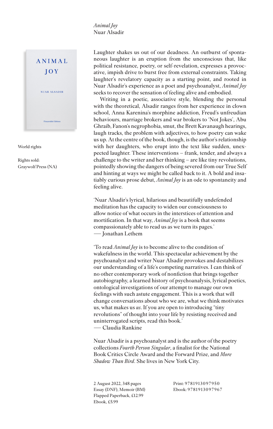*Animal Joy* Nuar Alsadir



World rights

Rights sold: Graywolf Press (NA)

Laughter shakes us out of our deadness. An outburst of spontaneous laughter is an eruption from the unconscious that, like political resistance, poetry, or self-revelation, expresses a provocative, impish drive to burst free from external constraints. Taking laughter's revelatory capacity as a starting point, and rooted in Nuar Alsadir's experience as a poet and psychoanalyst, *Animal Joy* seeks to recover the sensation of feeling alive and embodied.

Writing in a poetic, associative style, blending the personal with the theoretical, Alsadir ranges from her experience in clown school, Anna Karenina's morphine addiction, Freud's unfreudian behaviours, marriage brokers and war brokers to 'Not Jokes', Abu Ghraib, Fanon's negrophobia, smut, the Brett Kavanaugh hearings, laugh tracks, the problem with adjectives, to how poetry can wake us up. At the centre of the book, though, is the author's relationship with her daughters, who erupt into the text like sudden, unexpected laughter. These interventions – frank, tender, and always a challenge to the writer and her thinking – are like tiny revolutions, pointedly showing the dangers of being severed from our True Self and hinting at ways we might be called back to it. A bold and insatiably curious prose debut, *Animal Joy* is an ode to spontaneity and feeling alive.

'Nuar Alsadir's lyrical, hilarious and beautifully undefended meditation has the capacity to widen our consciousness to allow notice of what occurs in the interstices of attention and mortification. In that way, *Animal Joy* is a book that seems compassionately able to read us as we turn its pages.' - Jonathan Lethem

'To read *Animal Joy* is to become alive to the condition of wakefulness in the world. This spectacular achievement by the psychoanalyst and writer Nuar Alsadir provokes and destabilizes our understanding of a life's competing narratives. I can think of no other contemporary work of nonfiction that brings together autobiography, a learned history of psychoanalysis, lyrical poetics, ontological investigations of our attempt to manage our own feelings with such astute engagement. This is a work that will change conversations about who we are, what we think motivates us, what makes us *us*. If you are open to introducing "tiny revolutions" of thought into your life by resisting received and uninterrogated scripts, read this book.' � Claudia Rankine

Nuar Alsadir is a psychoanalyst and is the author of the poetry collections *Fourth Person Singular*, a finalist for the National Book Critics Circle Award and the Forward Prize, and *More Shadow Than Bird*. She lives in New York City.

2 August 2022, 348 pages Essay (DNF), Memoir (BM) Flapped Paperback, £12.99 Ebook, £5.99

Print: 9781913097950 Ebook: 9781913097967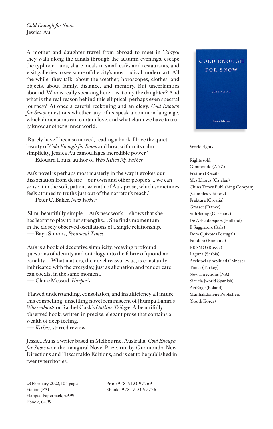*Cold Enough for Snow* Jessica Au

A mother and daughter travel from abroad to meet in Tokyo: they walk along the canals through the autumn evenings, escape the typhoon rains, share meals in small cafés and restaurants, and visit galleries to see some of the city's most radical modern art. All the while, they talk: about the weather, horoscopes, clothes, and objects, about family, distance, and memory. But uncertainties abound. Who is really speaking here – is it only the daughter? And what is the real reason behind this elliptical, perhaps even spectral journey? At once a careful reckoning and an elegy, *Cold Enough for Snow* questions whether any of us speak a common language, which dimensions can contain love, and what claim we have to truly know another's inner world.

'Rarely have I been so moved, reading a book: I love the quiet beauty of *Cold Enough for Snow* and how, within its calm simplicity, Jessica Au camouflages incredible power.' � Édouard Louis, author of *Who Killed My Father*

'Au's novel is perhaps most masterly in the way it evokes our dissociation from desire – our own and other people's … we can sense it in the soft, patient warmth of Au's prose, which sometimes feels attuned to truths just out of the narrator's reach.' � Peter C. Baker, *New Yorker*

'Slim, beautifully simple ... Au's new work ... shows that she has learnt to play to her strengths.… She finds momentum in the closely observed oscillations of a single relationship.' � Baya Simons, *Financial Times*

'Au's is a book of deceptive simplicity, weaving profound questions of identity and ontology into the fabric of quotidian banality…. What matters, the novel reassures us, is constantly imbricated with the everyday, just as alienation and tender care can coexist in the same moment.'

� Claire Messud, *Harper's*

'Flawed understanding, consolation, and insufficiency all infuse this compelling, unsettling novel reminiscent of Jhumpa Lahiri's *Whereabouts* or Rachel Cusk's *Outline Trilogy*. A beautifully observed book, written in precise, elegant prose that contains a wealth of deep feeling.'

� *Kirkus*, starred review

Jessica Au is a writer based in Melbourne, Australia. *Cold Enough for Snow* won the inaugural Novel Prize, run by Giramondo, New Directions and Fitzcarraldo Editions, and is set to be published in twenty territories.

Print: 9781913097769 Ebook: 9781913097776



World rights

Rights sold: Giramondo (ANZ) Fósforo (Brazil) Més Llibres (Catalan) China Times Publishing Company (Complex Chinese) Fraktura (Croatia) Grasset (France) Suhrkamp (Germany) De Arbeiderspers (Holland) Il Saggiatore (Italy) Dom Quixote (Portugal) Pandora (Romania) EKSMO (Russia) Laguna (Serbia) Archipel (simplified Chinese) Timas (Turkey) New Directions (NA) Siruela (world Spanish) ArtRage (Poland) Munhakdonene Publishers (South Korea)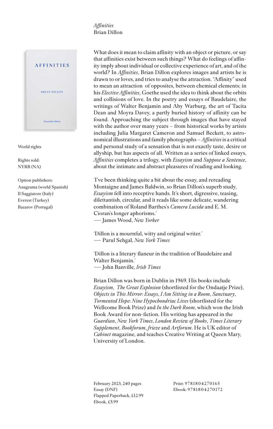*Affinities* Brian Dillon



World rights

Rights sold: NYRB (NA)

Option publishers: Anagrama (world Spanish) Il Saggiatore (Italy) Everest (Turkey) Bazarov (Portugal)

What does it mean to claim affinity with an object or picture, or say that affinities exist between such things? What do feelings of affinity imply about individual or collective experience of art, and of the world? In *Affinities*, Brian Dillon explores images and artists he is drawn to or loves, and tries to analyse the attraction. "Affinity" used to mean an attraction of opposites, between chemical elements; in his *Elective Affinities*, Goethe used the idea to think about the orbits and collisions of love. In the poetry and essays of Baudelaire, the writings of Walter Benjamin and Aby Warburg, the art of Tacita Dean and Moyra Davey, a partly buried history of affinity can be found. Approaching the subject through images that have stayed with the author over many years – from historical works by artists including Julia Margaret Cameron and Samuel Beckett, to astronomical illustrations and family photographs – *Affinities* is a critical and personal study of a sensation that is not exactly taste, desire or allyship, but has aspects of all. Written as a series of linked essays, *Affinities* completes a trilogy, with *Essayism* and *Suppose a Sentence*, about the intimate and abstract pleasures of reading and looking.

'I've been thinking quite a bit about the essay, and rereading Montaigne and James Baldwin, so Brian Dillon's superb study, *Essayism* fell into receptive hands. It's short, digressive, teasing, dilettantish, circular, and it reads like some delicate, wandering combination of Roland Barthes's *Camera Lucida* and E. M. Cioran's longer aphorisms.' � James Wood, *New Yorker*

'Dillon is a mournful, witty and original writer.' � Parul Sehgal, *New York Times*

'Dillon is a literary flaneur in the tradition of Baudelaire and Walter Benjamin.' � John Banville, *Irish Times*

Brian Dillon was born in Dublin in 1969. His books include *Essayism*, *The Great Explosion* (shortlisted for the Ondaatje Prize), *Objects in This Mirror: Essays*, *I Am Sitting in a Room*, *Sanctuary*, *Tormented Hope: Nine Hypochondriac Lives* (shortlisted for the Wellcome Book Prize) and *In the Dark Room*, which won the Irish Book Award for non-fiction. His writing has appeared in the *Guardian*, *New York Times*, *London Review of Books*, *Times Literary Supplement*, *Bookforum*, *frieze* and *Artforum*. He is UK editor of *Cabinet* magazine, and teaches Creative Writing at Queen Mary, University of London.

February 2023, 240 pages Essay (DNF) Flapped Paperback, £12.99 Ebook, £5.99

Print: 9781804270165 Ebook: 9781804270172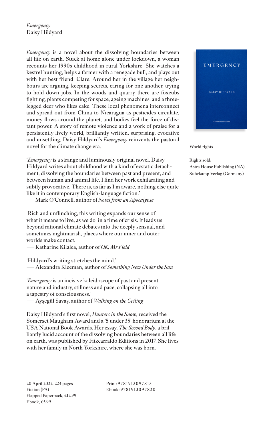*Emergency* Daisy Hildyard

*Emergency* is a novel about the dissolving boundaries between all life on earth. Stuck at home alone under lockdown, a woman recounts her 1990s childhood in rural Yorkshire. She watches a kestrel hunting, helps a farmer with a renegade bull, and plays out with her best friend, Clare. Around her in the village her neighbours are arguing, keeping secrets, caring for one another, trying to hold down jobs. In the woods and quarry there are foxcubs fighting, plants competing for space, ageing machines, and a threelegged deer who likes cake. These local phenomena interconnect and spread out from China to Nicaragua as pesticides circulate, money flows around the planet, and bodies feel the force of distant power. A story of remote violence and a work of praise for a persistently lively world, brilliantly written, surprising, evocative and unsettling, Daisy Hildyard's *Emergency* reinvents the pastoral novel for the climate change era.

'*Emergency* is a strange and luminously original novel. Daisy Hildyard writes about childhood with a kind of ecstatic detachment, dissolving the boundaries between past and present, and between human and animal life. I find her work exhilarating and subtly provocative. There is, as far as I'm aware, nothing else quite like it in contemporary English-language fiction.' � Mark O'Connell, author of *Notes from an Apocalypse*

'Rich and unflinching, this writing expands our sense of what it means to live, as we do, in a time of crisis. It leads us beyond rational climate debates into the deeply sensual, and sometimes nightmarish, places where our inner and outer worlds make contact.'

� Katharine Kilalea, author of *OK, Mr Field* 

'Hildyard's writing stretches the mind.' � Alexandra Kleeman, author of *Something New Under the Sun*

'*Emergency* is an incisive kaleidoscope of past and present, nature and industry, stillness and pace, collapsing all into a tapestry of consciousness.'

� Ayşegül Savaş, author of *Walking on the Ceiling* 

Daisy Hildyard's first novel, *Hunters in the Snow*, received the Somerset Maugham Award and a '5 under 35' honorarium at the USA National Book Awards. Her essay, *The Second Body*, a brilliantly lucid account of the dissolving boundaries between all life on earth, was published by Fitzcarraldo Editions in 2017. She lives with her family in North Yorkshire, where she was born.

Print: 9781913097813 Ebook: 9781913097820



World rights

Rights sold: Astra House Publishing (NA) Suhrkamp Verlag (Germany)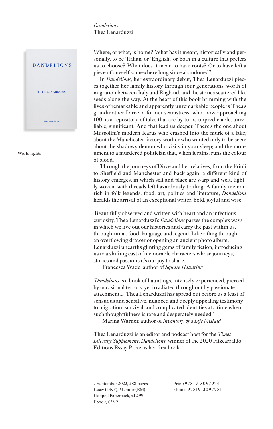## *Dandelions* Thea Lenarduzzi



World rights

Where, or what, is home? What has it meant, historically and personally, to be 'Italian' or 'English', or both in a culture that prefers us to choose? What does it mean to have roots? Or to have left a piece of oneself somewhere long since abandoned?

In *Dandelions*, her extraordinary debut, Thea Lenarduzzi pieces together her family history through four generations' worth of migration between Italy and England, and the stories scattered like seeds along the way. At the heart of this book brimming with the lives of remarkable and apparently unremarkable people is Thea's grandmother Dirce, a former seamstress, who, now approaching 100, is a repository of tales that are by turns unpredictable, unreliable, significant. And that lead us deeper. There's the one about Mussolini's modern Icarus who crashed into the murk of a lake; about the Manchester factory worker who wanted only to be seen; about the shadowy demon who visits in your sleep; and the monument to a murdered politician that, when it rains, runs the colour of blood.

Through the journeys of Dirce and her relatives, from the Friuli to Sheffield and Manchester and back again, a different kind of history emerges, in which self and place are warp and weft, tightly woven, with threads left hazardously trailing. A family memoir rich in folk legends, food, art, politics and literature, *Dandelions* heralds the arrival of an exceptional writer: bold, joyful and wise.

'Beautifully observed and written with heart and an infectious curiosity, Thea Lenarduzzi's *Dandelions* parses the complex ways in which we live out our histories and carry the past within us, through ritual, food, language and legend. Like rifling through an overflowing drawer or opening an ancient photo album, Lenarduzzi unearths glinting gems of family fiction, introducing us to a shifting cast of memorable characters whose journeys, stories and passions it's our joy to share.'

� Francesca Wade, author of *Square Haunting* 

'*Dandelions* is a book of hauntings, intensely experienced, pierced by occasional terrors, yet irradiated throughout by passionate attachment.... Thea Lenarduzzi has spread out before us a feast of sensuous and sensitive, nuanced and deeply appealing testimony to migration, survival, and complicated identities at a time when such thoughtfulness is rare and desperately needed.' � Marina Warner, author of *Inventory of a Life Mislaid*

Thea Lenarduzzi is an editor and podcast host for the *Times Literary Supplement*. *Dandelions*, winner of the 2020 Fitzcarraldo Editions Essay Prize, is her first book.

7 September 2022, 288 pages Essay (DNF), Memoir (BM) Flapped Paperback, £12.99 Ebook, £5.99

Print: 9781913097974 Ebook: 9781913097981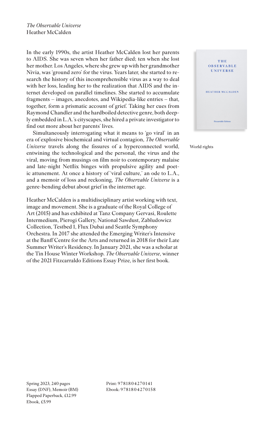*The Observable Universe* Heather McCalden

In the early 1990s, the artist Heather McCalden lost her parents to AIDS. She was seven when her father died; ten when she lost her mother. Los Angeles, where she grew up with her grandmother Nivia, was 'ground zero' for the virus. Years later, she started to research the history of this incomprehensible virus as a way to deal with her loss, leading her to the realization that AIDS and the internet developed on parallel timelines. She started to accumulate fragments – images, anecdotes, and Wikipedia-like entries – that, together, form a prismatic account of grief. Taking her cues from Raymond Chandler and the hardboiled detective genre, both deeply embedded in L.A.'s cityscapes, she hired a private investigator to find out more about her parents' lives.

Simultaneously interrogating what it means to 'go viral' in an era of explosive biochemical and virtual contagion, *The Observable Universe* travels along the fissures of a hyperconnected world, entwining the technological and the personal, the virus and the viral, moving from musings on film noir to contemporary malaise and late-night Netflix binges with propulsive agility and poetic attunement. At once a history of 'viral culture,' an ode to L.A., and a memoir of loss and reckoning, *The Observable Universe* is a genre-bending debut about grief in the internet age.

Heather McCalden is a multidisciplinary artist working with text, image and movement. She is a graduate of the Royal College of Art (2015) and has exhibited at Tanz Company Gervasi, Roulette Intermedium, Pierogi Gallery, National Sawdust, Zabludowicz Collection, Testbed 1, Flux Dubai and Seattle Symphony Orchestra. In 2017 she attended the Emerging Writer's Intensive at the Banff Centre for the Arts and returned in 2018 for their Late Summer Writer's Residency. In January 2021, she was a scholar at the Tin House Winter Workshop. *The Observable Universe*, winner of the 2021 Fitzcarraldo Editions Essay Prize, is her first book.



World rights

Print: 9781804270141 Ebook: 9781804270158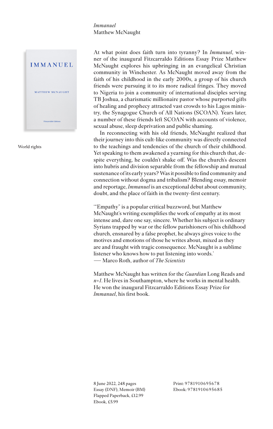*Immanuel* Matthew McNaught



World rights

At what point does faith turn into tyranny? In *Immanuel*, winner of the inaugural Fitzcarraldo Editions Essay Prize Matthew McNaught explores his upbringing in an evangelical Christian community in Winchester. As McNaught moved away from the faith of his childhood in the early 2000s, a group of his church friends were pursuing it to its more radical fringes. They moved to Nigeria to join a community of international disciples serving TB Joshua, a charismatic millionaire pastor whose purported gifts of healing and prophecy attracted vast crowds to his Lagos ministry, the Synagogue Church of All Nations (SCOAN). Years later, a number of these friends left SCOAN with accounts of violence, sexual abuse, sleep deprivation and public shaming.

In reconnecting with his old friends, McNaught realized that their journey into this cult-like community was directly connected to the teachings and tendencies of the church of their childhood. Yet speaking to them awakened a yearning for this church that, despite everything, he couldn't shake off. Was the church's descent into hubris and division separable from the fellowship and mutual sustenance of its early years? Was it possible to find community and connection without dogma and tribalism? Blending essay, memoir and reportage, *Immanuel* is an exceptional debut about community, doubt, and the place of faith in the twenty-first century.

'"Empathy" is a popular critical buzzword, but Matthew McNaught's writing exemplifies the work of empathy at its most intense and, dare one say, sincere. Whether his subject is ordinary Syrians trapped by war or the fellow parishioners of his childhood church, ensnared by a false prophet, he always gives voice to the motives and emotions of those he writes about, mixed as they are and fraught with tragic consequence. McNaught is a sublime listener who knows how to put listening into words.' � Marco Roth, author of *The Scientists*

Matthew McNaught has written for the *Guardian* Long Reads and *n+1*. He lives in Southampton, where he works in mental health. He won the inaugural Fitzcarraldo Editions Essay Prize for *Immanuel*, his first book.

8 June 2022, 248 pages Essay (DNF), Memoir (BM) Flapped Paperback, £12.99 Ebook, £5.99

Print: 9781910695678 Ebook: 9781910695685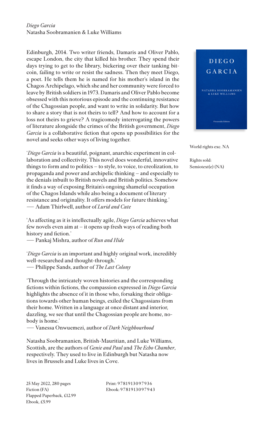## *Diego Garcia* Natasha Soobramanien & Luke Williams

Edinburgh, 2014. Two writer friends, Damaris and Oliver Pablo, escape London, the city that killed his brother. They spend their days trying to get to the library, bickering over their tanking bitcoin, failing to write or resist the sadness. Then they meet Diego, a poet. He tells them he is named for his mother's island in the Chagos Archipelago, which she and her community were forced to leave by British soldiers in 1973. Damaris and Oliver Pablo become obsessed with this notorious episode and the continuing resistance of the Chagossian people, and want to write in solidarity. But how to share a story that is not theirs to tell? And how to account for a loss not theirs to grieve? A tragicomedy interrogating the powers of literature alongside the crimes of the British government, *Diego Garcia* is a collaborative fiction that opens up possibilities for the novel and seeks other ways of living together.

'*Diego Garcia* is a beautiful, poignant, anarchic experiment in collaboration and collectivity. This novel does wonderful, innovative things to form and to politics – to style, to voice, to creolization, to propaganda and power and archipelic thinking – and especially to the denials inbuilt to British novels and British politics. Somehow it finds a way of exposing Britain's ongoing shameful occupation of the Chagos Islands while also being a document of literary resistance and originality. It offers models for future thinking.' � Adam Thirlwell, author of *Lurid and Cute*

'As affecting as it is intellectually agile, *Diego Garcia* achieves what few novels even aim at – it opens up fresh ways of reading both history and fiction.'

� Pankaj Mishra, author of *Run and Hide*

'*Diego Garcia* is an important and highly original work, incredibly well-researched and thought-through.' � Philippe Sands, author of *The Last Colony*

'Through the intricately woven histories and the corresponding fictions within fictions, the compassion expressed in *Diego Garcia*  highlights the absence of it in those who, forsaking their obligations towards other human beings, exiled the Chagossians from their home. Written in a language at once distant and interior, dazzling, we see that until the Chagossian people are home, nobody is home.'

� Vanessa Onwuemezi, author of *Dark Neighbourhood*

Natasha Soobramanien, British-Mauritian, and Luke Williams, Scottish, are the authors of *Genie and Paul* and *The Echo Chamber*, respectively. They used to live in Edinburgh but Natasha now lives in Brussels and Luke lives in Cove.

Print: 978191309793 6 Ebook: 9781913097943



World rights exc. NA

Rights sold: Semiotext(e) (NA)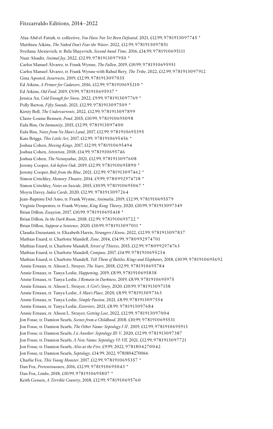Alaa Abd el-Fattah, tr. collective, *You Have Not Yet Been Defeated*, 2021, £12.99, 9781913097745 \* Matthieu Aikins, *The Naked Don't Fear the Water*, 2022, £12.99, 9781913097851 Svetlana Alexievich, tr. Bela Shayevich, *Second-hand Time*, 2016, £14.99, 9781910695111 Nuar Alsadir, *Animal Joy*, 2022, £12.99, 9781913097950 \* Carlos Manuel Álvarez, tr. Frank Wynne, *The Fallen*, 2019, £10.99, 9781910695951 Carlos Manuel Álvarez, tr. Frank Wynne with Rahul Bery, *The Tribe*, 2022, £12.99, 9781913097912 Gina Apostol, *Insurrecto*, 2019, £12.99, 9781913097035 Ed Atkins, *A Primer for Cadavers*, 2016, £12.99, 9781910695210 \* Ed Atkins, *Old Food*, 2019, £9.99, 9781910695937 \* Jessica Au, *Cold Enough for Snow*, 2022, £9.99, 9781913097769 \* Polly Barton, *Fifty Sounds*, 2021, £12.99, 9781913097509 \* Kirsty Bell, *The Undercurrents*, 2022, £12.99, 9781913097899 Claire-Louise Bennett, *Pond*, 2015, £10.99, 9781910695098 Eula Biss, *On Immunity*, 2015, £12.99, 9781913097400 Eula Biss, *Notes from No Man's Land*, 2017, £12.99, 9781910695395 Kate Briggs, *This Little Art*, 2017, £12.99, 9781910695456 \* Joshua Cohen, *Moving Kings*, 2017, £12.99, 9781910695494 Joshua Cohen, *Attention*, 2018, £14.99, 9781910695746 Joshua Cohen, *The Netanyahus*, 2021, £12.99, 9781913097608 Jeremy Cooper, *Ash before Oak*, 2019, £12.99, 9781910695890 \* Jeremy Cooper, *Bolt from the Blue*, 2021, £12.99, 9781913097462 \* Simon Critchley, *Memory Theatre*, 2014, £9.99, 9780992974718 \* Simon Critchley, *Notes on Suicide*, 2015, £10.99, 9781910695067 \* Moyra Davey, *Index Cards*, 2020, £12.99, 9781913097264 Jean-Baptiste Del Amo, tr. Frank Wynne, *Animalia*, 2019, £12.99, 9781910695579 Virginie Despentes, tr. Frank Wynne, *King Kong Theory*, 2020, £10.99, 9781913097349 Brian Dillon, *Essayism*, 2017, £10.99, 9781910695418 \* Brian Dillon, *In the Dark Room*, 2018, £12.99, 9781910695722 \* Brian Dillon, *Suppose a Sentence*, 2020, £10.99, 9781913097011 \* Claudia Durastanti, tr. Elizabeth Harris, *Strangers I Know*, 2022, £12.99, 9781913097837 Mathias Enard, tr. Charlotte Mandell, *Zone*, 2014, £14.99, 9780992974701 Mathias Enard, tr. Charlotte Mandell, *Street of Thieves*, 2015, £12.99, 9780992974763 Mathias Enard, tr. Charlotte Mandell, *Compass*, 2017, £14.99, 9781910695234 Mathias Enard, tr. Charlotte Mandell, *Tell Them of Battles, Kings and Elephants*, 2018, £10.99, 9781910695692 Annie Ernaux, tr. Alison L. Strayer, *The Years*, 2018, £12.99, 9781910695784 Annie Ernaux, tr. Tanya Leslie, *Happening*, 2019, £8.99, 9781910695838 Annie Ernaux, tr. Tanya Leslie, *I Remain in Darkness*, 2019, £8.99, 9781910695975 Annie Ernaux, tr. Alison L. Strayer, *A Girl's Story*, 2020, £10.99, 9781913097158 Annie Ernaux, tr. Tanya Leslie, *A Man's Place*, 2020, £8.99, 9781913097363 Annie Ernaux, tr. Tanya Leslie, *Simple Passion*, 2021, £8.99, 9781913097554 Annie Ernaux, tr. Tanya Leslie, *Exteriors*, 2021, £8.99, 9781913097684 Annie Ernaux, tr. Alison L. Strayer, *Getting Lost*, 2022, £12.99, 9781913097004 Jon Fosse, tr. Damion Searls, *Scenes from a Childhood*, 2018, £10.99, 9781910695531 Jon Fosse, tr. Damion Searls, *The Other Name: Septology I-II* , 2019, £12.99, 9781910695913 Jon Fosse, tr. Damion Searls, *I is Another: Septology III-V*, 2020, £12.99, 9781913097387 Jon Fosse, tr. Damion Searls, *A New Name: Septology VI-VII*, 2021, £12.99, 9781913097721 Jon Fosse, tr. Damion Searls, *Aliss at the Fire*, £9.99, 2022, 9781804270042 Jon Fosse, tr. Damion Searls, *Septology*, £14.99, 2022, 9781804270066 Charlie Fox, *This Young Monster*, 2017, £12.99, 9781910695357 \* Dan Fox, *Pretentiousness*, 2016, £12.99, 9781910695043 \* Dan Fox, *Limbo*, 2018, £10.99, 9781910695807 \* Keith Gessen, *A Terrible Country*, 2018, £12.99, 9781910695760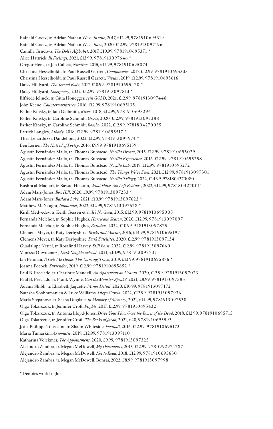Rainald Goetz, tr. Adrian Nathan West, *Insane*, 2017, £12.99, 9781910695319 Rainald Goetz, tr. Adrian Nathan West, *Rave*, 2020, £12.99, 9781913097196 Camilla Grudova, *The Doll's Alphabet*, 2017, £10.99, 9781910695371 \* Alice Hattrick, *Ill Feelings*, 2021, £12.99, 9781913097646 \* Gregor Hens, tr. Jen Calleja, *Nicotine*, 2015, £12.99, 9781910695074 Christina Hesselholdt, tr. Paul Russell Garrett, *Companions*, 2017, £12.99, 9781910695333 Christina Hesselholdt, tr. Paul Russell Garrett, *Vivian*, 2019, £12.99, 9781910695616 Daisy Hildyard, *The Second Body*, 2017, £10.99, 9781910695470 \* Daisy Hildyard, *Emergency*, 2022, £12.99, 9781913097813 \* Elfriede Jelinek, tr. Gitta Honegger, *rein GOLD*, 2021, £12.99, 9781913097448 John Keene, *Counternarratives*, 2016, £12.99, 9781910695135 Esther Kinsky, tr. Iain Galbraith, *River*, 2018, £12.99, 9781910695296 Esther Kinsky, tr. Caroline Schmidt, *Grove*, 2020, £12.99, 9781913097288 Esther Kinsky, tr. Caroline Schmidt, *Rombo*, 2022, £12.99, 9781804270035 Patrick Langley, *Arkady*, 2018, £12.99, 9781910695517 \* Thea Lenarduzzi, Dandelions, 2022, £12.99, 9781913097974 \* Ben Lerner, *The Hatred of Poetry*, 2016, £9.99, 9781910695159 Agustín Fernández Mallo, tr. Thomas Bunstead, *Nocilla Dream*, 2015, £12.99, 9781910695029 Agustín Fernández Mallo, tr. Thomas Bunstead, *Nocilla Experience*, 2016, £12.99, 9781910695258 Agustín Fernández Mallo, tr. Thomas Bunstead, *Nocilla Lab*, 2019, £12.99, 9781910695272 Agustín Fernández Mallo, tr. Thomas Bunstead, *The Things We've Seen*, 2021, £12.99, 9781913097301 Agustín Fernández Mallo, tr. Thomas Bunstead, *Nocilla Trilogy,* 2022, £14.99, 9781804270080 Bushra al-Maqtari, tr. Sawad Hussain, *What Have You Left Behind?*, 2022, £12.99, 9781804270011 Adam Mars-Jones, *Box Hill*, 2020, £9.99, 9781913097233 \* Adam Mars-Jones, *Batlava Lake*, 2021, £10.99, 9781913097622 \* Matthew McNaught, *Immanuel*, 2022, £12.99, 9781913097678 \* Kirill Medvedev, tr. Keith Gessen et al, *It's No Good*, 2015, £12.99, 9781910695005 Fernanda Melchor, tr. Sophie Hughes, *Hurricane Season*, 2020, £12.99, 9781913097097 Fernanda Melchor, tr. Sophie Hughes, *Paradais*, 2022, £10.99, 9781913097875 Clemens Meyer, tr. Katy Derbyshire, *Bricks and Mortar*, 2016, £14.99, 9781910695197 Clemens Meyer, tr. Katy Derbyshire, *Dark Satellites*, 2020, £12.99, 9781913097134 Guadalupe Nettel, tr. Rosalind Harvey, *Still Born*, 2022, £12.99, 9781913097660 Vanessa Onwuemezi*, Dark Neighbourhood*, 2021, £10.99, 9781913097707 Ian Penman, *It Gets Me Home, This Curving Track*, 2019, £12.99, 9781910695876 \* Joanna Pocock, *Surrender*, 2019, £12.99, 9781910695852 \* Paul B. Preciado, tr. Charlotte Mandell, *An Apartment on Uranus*, 2020, £12.99, 9781913097073 Paul B. Preciado, tr. Frank Wynne, *Can the Monster Speak?*, 2021, £8.99, 9781913097585 Adania Shibli, tr. Elisabeth Jaquette, *Minor Detail*, 2020, £10.99, 9781913097172 Natasha Soobramanien & Luke Williams, *Diego Garcia*, 2022, £12.99, 9781913097936 Maria Stepanova, tr. Sasha Dugdale, *In Memory of Memory*, 2021, £14.99, 9781913097530 Olga Tokarczuk, tr. Jennifer Croft, *Flights*, 2017, £12.99, 9781910695432 Olga Tokarczuk, tr. Antonia Lloyd-Jones, *Drive Your Plow Over the Bones of the Dead*, 2018, £12.99, 9781910695715 Olga Tokarczuk, tr. Jennifer Croft, *The Books of Jacob*, 2021, £20, 9781910695593 Jean-Philippe Toussaint, tr. Shaun Whiteside, *Football*, 2016, £12.99, 9781910695173 Maria Tumarkin, *Axiomatic*, 2019, £12.99, 9781913097110 Katharina Volckmer, *The Appointment*, 2020, £9.99, 9781913097325 Alejandro Zambra, tr. Megan McDowell, *My Documents*, 2015, £12.99, 9780992974787 Alejandro Zambra, tr. Megan McDowell, *Not to Read*, 2018, £12.99, 9781910695630 Alejandro Zambra, tr. Megan McDowell, Bonsai, 2022, £8.99, 9781913097998

\* Denotes world rights